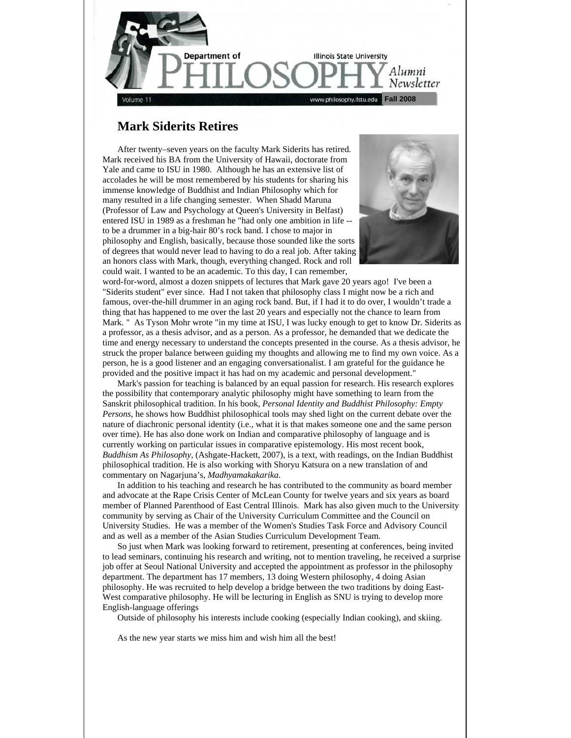

# **Mark Siderits Retires**

After twenty–seven years on the faculty Mark Siderits has retired. Mark received his BA from the University of Hawaii, doctorate from Yale and came to ISU in 1980. Although he has an extensive list of accolades he will be most remembered by his students for sharing his immense knowledge of Buddhist and Indian Philosophy which for many resulted in a life changing semester. When Shadd Maruna (Professor of Law and Psychology at Queen's University in Belfast) entered ISU in 1989 as a freshman he "had only one ambition in life - to be a drummer in a big-hair 80's rock band. I chose to major in philosophy and English, basically, because those sounded like the sorts of degrees that would never lead to having to do a real job. After taking an honors class with Mark, though, everything changed. Rock and roll could wait. I wanted to be an academic. To this day, I can remember,



word-for-word, almost a dozen snippets of lectures that Mark gave 20 years ago! I've been a "Siderits student" ever since. Had I not taken that philosophy class I might now be a rich and famous, over-the-hill drummer in an aging rock band. But, if I had it to do over, I wouldn't trade a thing that has happened to me over the last 20 years and especially not the chance to learn from Mark. " As Tyson Mohr wrote "in my time at ISU, I was lucky enough to get to know Dr. Siderits as a professor, as a thesis advisor, and as a person. As a professor, he demanded that we dedicate the time and energy necessary to understand the concepts presented in the course. As a thesis advisor, he struck the proper balance between guiding my thoughts and allowing me to find my own voice. As a person, he is a good listener and an engaging conversationalist. I am grateful for the guidance he provided and the positive impact it has had on my academic and personal development."

 Mark's passion for teaching is balanced by an equal passion for research. His research explores the possibility that contemporary analytic philosophy might have something to learn from the Sanskrit philosophical tradition. In his book, *Personal Identity and Buddhist Philosophy: Empty Persons,* he shows how Buddhist philosophical tools may shed light on the current debate over the nature of diachronic personal identity (i.e., what it is that makes someone one and the same person over time). He has also done work on Indian and comparative philosophy of language and is currently working on particular issues in comparative epistemology. His most recent book, *Buddhism As Philosophy,* (Ashgate-Hackett, 2007), is a text, with readings, on the Indian Buddhist philosophical tradition. He is also working with Shoryu Katsura on a new translation of and commentary on Nagarjuna's, *Madhyamakakarika*.

 In addition to his teaching and research he has contributed to the community as board member and advocate at the Rape Crisis Center of McLean County for twelve years and six years as board member of Planned Parenthood of East Central Illinois. Mark has also given much to the University community by serving as Chair of the University Curriculum Committee and the Council on University Studies. He was a member of the Women's Studies Task Force and Advisory Council and as well as a member of the Asian Studies Curriculum Development Team.

 So just when Mark was looking forward to retirement, presenting at conferences, being invited to lead seminars, continuing his research and writing, not to mention traveling, he received a surprise job offer at Seoul National University and accepted the appointment as professor in the philosophy department. The department has 17 members, 13 doing Western philosophy, 4 doing Asian philosophy. He was recruited to help develop a bridge between the two traditions by doing East-West comparative philosophy. He will be lecturing in English as SNU is trying to develop more English-language offerings

Outside of philosophy his interests include cooking (especially Indian cooking), and skiing.

As the new year starts we miss him and wish him all the best!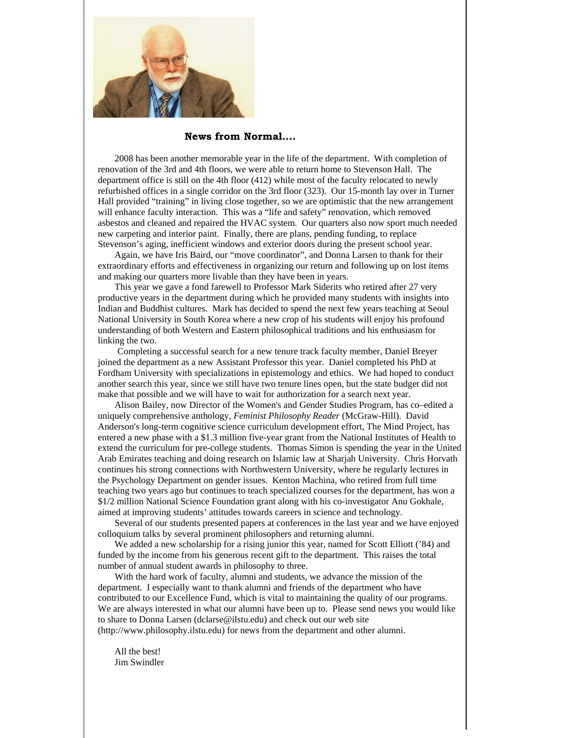

## **News from Normal….**

2008 has been another memorable year in the life of the department. With completion of renovation of the 3rd and 4th floors, we were able to return home to Stevenson Hall. The department office is still on the 4th floor (412) while most of the faculty relocated to newly refurbished offices in a single corridor on the 3rd floor (323). Our 15-month lay over in Turner Hall provided "training" in living close together, so we are optimistic that the new arrangement will enhance faculty interaction. This was a "life and safety" renovation, which removed asbestos and cleaned and repaired the HVAC system. Our quarters also now sport much needed new carpeting and interior paint. Finally, there are plans, pending funding, to replace Stevenson's aging, inefficient windows and exterior doors during the present school year.

Again, we have Iris Baird, our "move coordinator", and Donna Larsen to thank for their extraordinary efforts and effectiveness in organizing our return and following up on lost items and making our quarters more livable than they have been in years.

This year we gave a fond farewell to Professor Mark Siderits who retired after 27 very productive years in the department during which he provided many students with insights into Indian and Buddhist cultures. Mark has decided to spend the next few years teaching at Seoul National University in South Korea where a new crop of his students will enjoy his profound understanding of both Western and Eastern philosophical traditions and his enthusiasm for linking the two.

 Completing a successful search for a new tenure track faculty member, Daniel Breyer joined the department as a new Assistant Professor this year. Daniel completed his PhD at Fordham University with specializations in epistemology and ethics. We had hoped to conduct another search this year, since we still have two tenure lines open, but the state budget did not make that possible and we will have to wait for authorization for a search next year.

Alison Bailey, now Director of the Women's and Gender Studies Program, has co–edited a uniquely comprehensive anthology, *Feminist Philosophy Reader* (McGraw-Hill). David Anderson's long-term cognitive science curriculum development effort, The Mind Project, has entered a new phase with a \$1.3 million five-year grant from the National Institutes of Health to extend the curriculum for pre-college students. Thomas Simon is spending the year in the United Arab Emirates teaching and doing research on Islamic law at Sharjah University. Chris Horvath continues his strong connections with Northwestern University, where he regularly lectures in the Psychology Department on gender issues. Kenton Machina, who retired from full time teaching two years ago but continues to teach specialized courses for the department, has won a \$1/2 million National Science Foundation grant along with his co-investigator Anu Gokhale, aimed at improving students' attitudes towards careers in science and technology.

Several of our students presented papers at conferences in the last year and we have enjoyed colloquium talks by several prominent philosophers and returning alumni.

We added a new scholarship for a rising junior this year, named for Scott Elliott ('84) and funded by the income from his generous recent gift to the department. This raises the total number of annual student awards in philosophy to three.

With the hard work of faculty, alumni and students, we advance the mission of the department. I especially want to thank alumni and friends of the department who have contributed to our Excellence Fund, which is vital to maintaining the quality of our programs. We are always interested in what our alumni have been up to. Please send news you would like to share to Donna Larsen (dclarse@ilstu.edu) and check out our web site (http://www.philosophy.ilstu.edu) for news from the department and other alumni.

All the best! Jim Swindler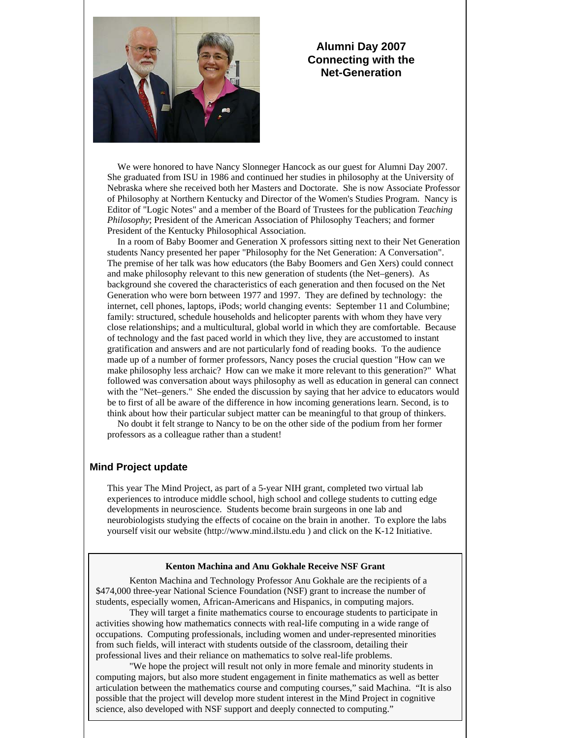

# **Alumni Day 2007 Connecting with the Net-Generation**

 We were honored to have Nancy Slonneger Hancock as our guest for Alumni Day 2007. She graduated from ISU in 1986 and continued her studies in philosophy at the University of Nebraska where she received both her Masters and Doctorate. She is now Associate Professor of Philosophy at Northern Kentucky and Director of the Women's Studies Program. Nancy is Editor of "Logic Notes" and a member of the Board of Trustees for the publication *Teaching Philosophy*; President of the American Association of Philosophy Teachers; and former President of the Kentucky Philosophical Association.

 In a room of Baby Boomer and Generation X professors sitting next to their Net Generation students Nancy presented her paper "Philosophy for the Net Generation: A Conversation". The premise of her talk was how educators (the Baby Boomers and Gen Xers) could connect and make philosophy relevant to this new generation of students (the Net–geners). As background she covered the characteristics of each generation and then focused on the Net Generation who were born between 1977 and 1997. They are defined by technology: the internet, cell phones, laptops, iPods; world changing events: September 11 and Columbine; family: structured, schedule households and helicopter parents with whom they have very close relationships; and a multicultural, global world in which they are comfortable. Because of technology and the fast paced world in which they live, they are accustomed to instant gratification and answers and are not particularly fond of reading books. To the audience made up of a number of former professors, Nancy poses the crucial question "How can we make philosophy less archaic? How can we make it more relevant to this generation?" What followed was conversation about ways philosophy as well as education in general can connect with the "Net–geners." She ended the discussion by saying that her advice to educators would be to first of all be aware of the difference in how incoming generations learn. Second, is to think about how their particular subject matter can be meaningful to that group of thinkers.

 No doubt it felt strange to Nancy to be on the other side of the podium from her former professors as a colleague rather than a student!

# **Mind Project update**

This year The Mind Project, as part of a 5-year NIH grant, completed two virtual lab experiences to introduce middle school, high school and college students to cutting edge developments in neuroscience. Students become brain surgeons in one lab and neurobiologists studying the effects of cocaine on the brain in another. To explore the labs yourself visit our website (http://www.mind.ilstu.edu ) and click on the K-12 Initiative.

#### **Kenton Machina and Anu Gokhale Receive NSF Grant**

Kenton Machina and Technology Professor Anu Gokhale are the recipients of a \$474,000 three-year National Science Foundation (NSF) grant to increase the number of students, especially women, African-Americans and Hispanics, in computing majors.

They will target a finite mathematics course to encourage students to participate in activities showing how mathematics connects with real-life computing in a wide range of occupations. Computing professionals, including women and under-represented minorities from such fields, will interact with students outside of the classroom, detailing their professional lives and their reliance on mathematics to solve real-life problems.

"We hope the project will result not only in more female and minority students in computing majors, but also more student engagement in finite mathematics as well as better articulation between the mathematics course and computing courses," said Machina. "It is also possible that the project will develop more student interest in the Mind Project in cognitive science, also developed with NSF support and deeply connected to computing."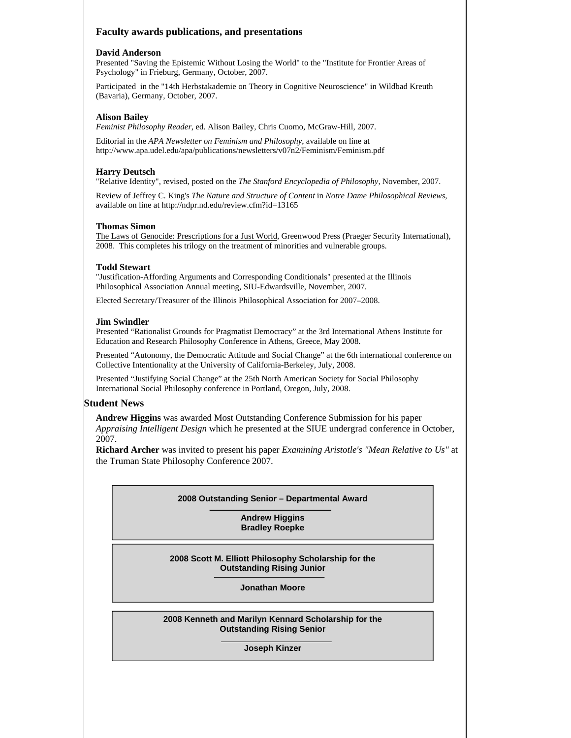# **Faculty awards publications, and presentations**

#### **David Anderson**

Presented "Saving the Epistemic Without Losing the World" to the "Institute for Frontier Areas of Psychology" in Frieburg, Germany, October, 2007.

Participated in the "14th Herbstakademie on Theory in Cognitive Neuroscience" in Wildbad Kreuth (Bavaria), Germany, October, 2007.

## **Alison Bailey**

*Feminist Philosophy Reader,* ed. Alison Bailey, Chris Cuomo, McGraw-Hill, 2007.

Editorial in the *APA Newsletter on Feminism and Philosophy*, available on line at http://www.apa.udel.edu/apa/publications/newsletters/v07n2/Feminism/Feminism.pdf

## **Harry Deutsch**

"Relative Identity", revised, posted on the *The Stanford Encyclopedia of Philosophy,* November, 2007.

Review of Jeffrey C. King's *The Nature and Structure of Content* in *Notre Dame Philosophical Reviews*, available on line at http://ndpr.nd.edu/review.cfm?id=13165

#### **Thomas Simon**

The Laws of Genocide: Prescriptions for a Just World, Greenwood Press (Praeger Security International), 2008. This completes his trilogy on the treatment of minorities and vulnerable groups.

#### **Todd Stewart**

"Justification-Affording Arguments and Corresponding Conditionals" presented at the Illinois Philosophical Association Annual meeting, SIU-Edwardsville, November, 2007.

Elected Secretary/Treasurer of the Illinois Philosophical Association for 2007–2008.

#### **Jim Swindler**

Presented "Rationalist Grounds for Pragmatist Democracy" at the 3rd International Athens Institute for Education and Research Philosophy Conference in Athens, Greece, May 2008.

Presented "Autonomy, the Democratic Attitude and Social Change" at the 6th international conference on Collective Intentionality at the University of California-Berkeley, July, 2008.

Presented "Justifying Social Change" at the 25th North American Society for Social Philosophy International Social Philosophy conference in Portland, Oregon, July, 2008.

#### **Student News**

**Andrew Higgins** was awarded Most Outstanding Conference Submission for his paper *Appraising Intelligent Design* which he presented at the SIUE undergrad conference in October, 2007.

**Richard Archer** was invited to present his paper *Examining Aristotle's "Mean Relative to Us"* at the Truman State Philosophy Conference 2007.

#### **2008 Outstanding Senior – Departmental Award**

**Andrew Higgins Bradley Roepke** 

**2008 Scott M. Elliott Philosophy Scholarship for the Outstanding Rising Junior** 

**Jonathan Moore** 

**2008 Kenneth and Marilyn Kennard Scholarship for the Outstanding Rising Senior** 

**Joseph Kinzer**